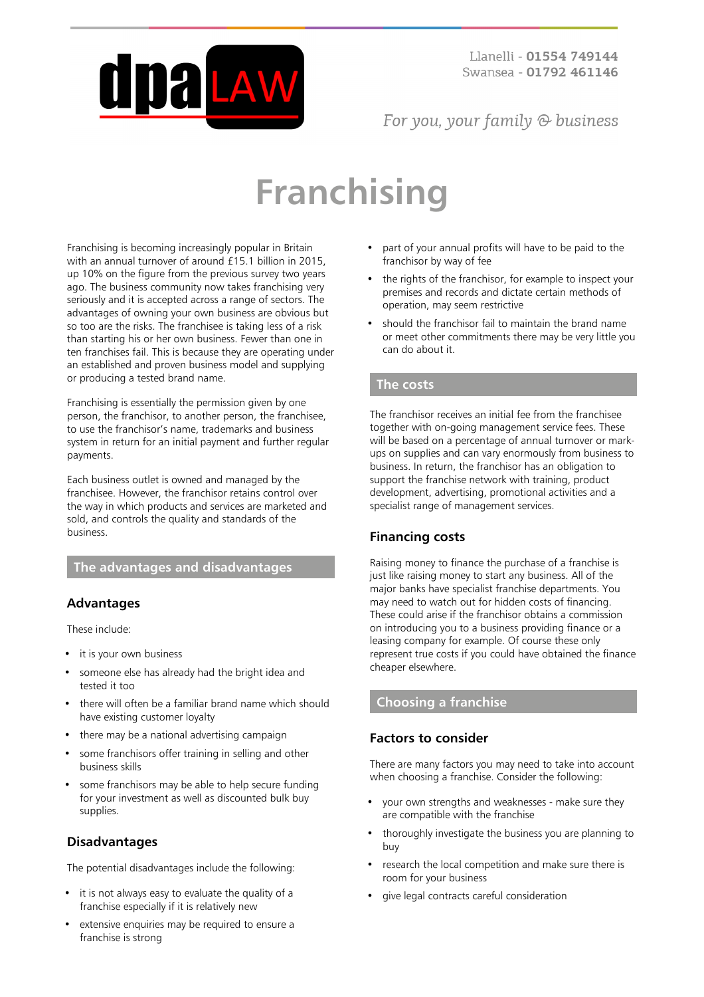

# For you, your family  $\odot$  business

# **Franchising**

Franchising is becoming increasingly popular in Britain with an annual turnover of around £15.1 billion in 2015, up 10% on the figure from the previous survey two years ago. The business community now takes franchising very seriously and it is accepted across a range of sectors. The advantages of owning your own business are obvious but so too are the risks. The franchisee is taking less of a risk than starting his or her own business. Fewer than one in ten franchises fail. This is because they are operating under an established and proven business model and supplying or producing a tested brand name.

Franchising is essentially the permission given by one person, the franchisor, to another person, the franchisee, to use the franchisor's name, trademarks and business system in return for an initial payment and further regular payments.

Each business outlet is owned and managed by the franchisee. However, the franchisor retains control over the way in which products and services are marketed and sold, and controls the quality and standards of the business.

# **The advantages and disadvantages**

## **Advantages**

These include:

- it is your own business
- someone else has already had the bright idea and tested it too
- there will often be a familiar brand name which should have existing customer loyalty
- there may be a national advertising campaign
- some franchisors offer training in selling and other business skills
- some franchisors may be able to help secure funding for your investment as well as discounted bulk buy supplies.

# **Disadvantages**

The potential disadvantages include the following:

- it is not always easy to evaluate the quality of a franchise especially if it is relatively new
- extensive enquiries may be required to ensure a franchise is strong
- part of your annual profits will have to be paid to the franchisor by way of fee
- the rights of the franchisor, for example to inspect your premises and records and dictate certain methods of operation, may seem restrictive
- should the franchisor fail to maintain the brand name or meet other commitments there may be very little you can do about it.

## **The costs**

The franchisor receives an initial fee from the franchisee together with on-going management service fees. These will be based on a percentage of annual turnover or markups on supplies and can vary enormously from business to business. In return, the franchisor has an obligation to support the franchise network with training, product development, advertising, promotional activities and a specialist range of management services.

# **Financing costs**

Raising money to finance the purchase of a franchise is just like raising money to start any business. All of the major banks have specialist franchise departments. You may need to watch out for hidden costs of financing. These could arise if the franchisor obtains a commission on introducing you to a business providing finance or a leasing company for example. Of course these only represent true costs if you could have obtained the finance cheaper elsewhere.

## **Choosing a franchise**

## **Factors to consider**

There are many factors you may need to take into account when choosing a franchise. Consider the following:

- your own strengths and weaknesses make sure they are compatible with the franchise
- thoroughly investigate the business you are planning to buy
- research the local competition and make sure there is room for your business
- give legal contracts careful consideration